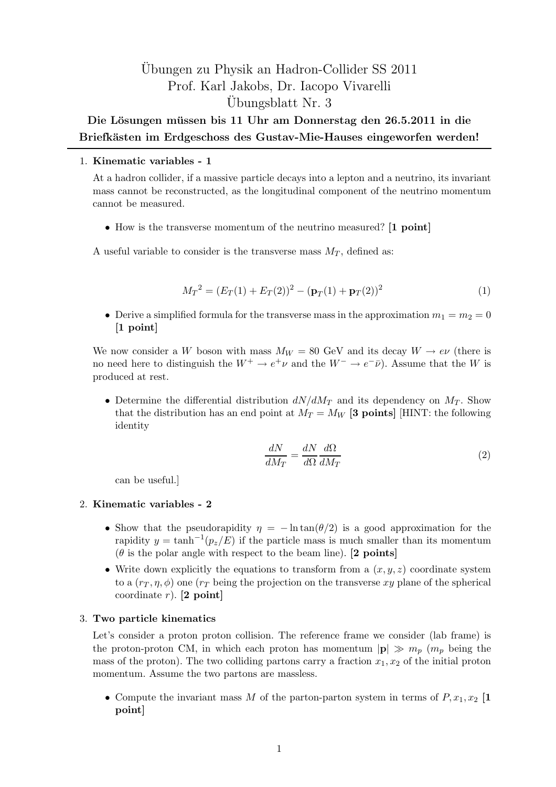# Ubungen zu Physik an Hadron-Collider SS 2011 ¨ Prof. Karl Jakobs, Dr. Iacopo Vivarelli Ubungsblatt Nr. 3 ¨

# Die Lösungen müssen bis 11 Uhr am Donnerstag den 26.5.2011 in die Briefkästen im Erdgeschoss des Gustav-Mie-Hauses eingeworfen werden!

## 1. Kinematic variables - 1

At a hadron collider, if a massive particle decays into a lepton and a neutrino, its invariant mass cannot be reconstructed, as the longitudinal component of the neutrino momentum cannot be measured.

• How is the transverse momentum of the neutrino measured? [1 point]

A useful variable to consider is the transverse mass  $M_T$ , defined as:

$$
M_T^2 = (E_T(1) + E_T(2))^2 - (\mathbf{p}_T(1) + \mathbf{p}_T(2))^2
$$
\n(1)

• Derive a simplified formula for the transverse mass in the approximation  $m_1 = m_2 = 0$ [1 point]

We now consider a W boson with mass  $M_W = 80$  GeV and its decay  $W \to e\nu$  (there is no need here to distinguish the  $W^+ \to e^+ \nu$  and the  $W^- \to e^- \bar{\nu}$ ). Assume that the W is produced at rest.

• Determine the differential distribution  $dN/dM_T$  and its dependency on  $M_T$ . Show that the distribution has an end point at  $M_T = M_W$  [3 points] [HINT: the following identity

$$
\frac{dN}{dM_T} = \frac{dN}{d\Omega} \frac{d\Omega}{dM_T} \tag{2}
$$

can be useful.]

### 2. Kinematic variables - 2

- Show that the pseudorapidity  $\eta = -\ln \tan(\theta/2)$  is a good approximation for the rapidity  $y = \tanh^{-1}(p_z/E)$  if the particle mass is much smaller than its momentum  $(\theta$  is the polar angle with respect to the beam line). [2 points]
- Write down explicitly the equations to transform from a  $(x, y, z)$  coordinate system to a  $(r<sub>T</sub>, \eta, \phi)$  one  $(r<sub>T</sub>$  being the projection on the transverse xy plane of the spherical coordinate  $r$ ). [2 point]

### 3. Two particle kinematics

Let's consider a proton proton collision. The reference frame we consider (lab frame) is the proton-proton CM, in which each proton has momentum  $|\mathbf{p}| \gg m_p$  ( $m_p$  being the mass of the proton). The two colliding partons carry a fraction  $x_1, x_2$  of the initial proton momentum. Assume the two partons are massless.

• Compute the invariant mass M of the parton-parton system in terms of  $P, x_1, x_2$  [1] point]